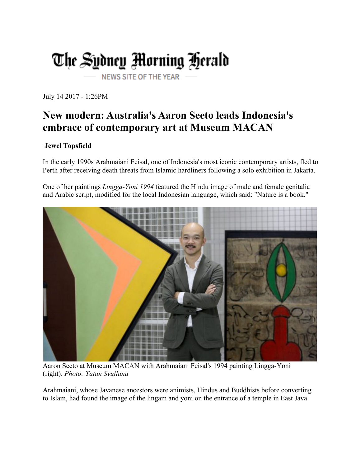## The Sydney Morning Herald **NEWS SITE OF THE YEAR**

July 14 2017 - 1:26PM

## **New modern: Australia's Aaron Seeto leads Indonesia's embrace of contemporary art at Museum MACAN**

## **Jewel Topsfield**

In the early 1990s Arahmaiani Feisal, one of Indonesia's most iconic contemporary artists, fled to Perth after receiving death threats from Islamic hardliners following a solo exhibition in Jakarta.

One of her paintings *Lingga-Yoni 1994* featured the Hindu image of male and female genitalia and Arabic script, modified for the local Indonesian language, which said: "Nature is a book."



Aaron Seeto at Museum MACAN with Arahmaiani Feisal's 1994 painting Lingga-Yoni (right). *Photo: Tatan Syuflana*

Arahmaiani, whose Javanese ancestors were animists, Hindus and Buddhists before converting to Islam, had found the image of the lingam and yoni on the entrance of a temple in East Java.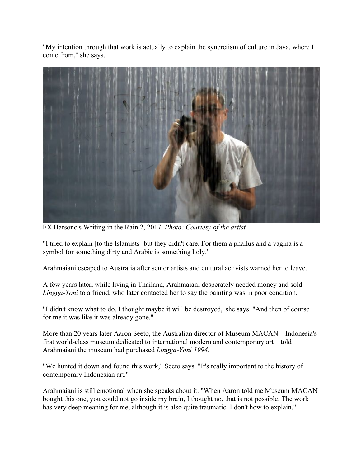"My intention through that work is actually to explain the syncretism of culture in Java, where I come from," she says.



FX Harsono's Writing in the Rain 2, 2017. *Photo: Courtesy of the artist*

"I tried to explain [to the Islamists] but they didn't care. For them a phallus and a vagina is a symbol for something dirty and Arabic is something holy."

Arahmaiani escaped to Australia after senior artists and cultural activists warned her to leave.

A few years later, while living in Thailand, Arahmaiani desperately needed money and sold *Lingga-Yoni* to a friend, who later contacted her to say the painting was in poor condition.

"I didn't know what to do, I thought maybe it will be destroyed,' she says. "And then of course for me it was like it was already gone."

More than 20 years later Aaron Seeto, the Australian director of Museum MACAN – Indonesia's first world-class museum dedicated to international modern and contemporary art – told Arahmaiani the museum had purchased *Lingga-Yoni 1994*.

"We hunted it down and found this work," Seeto says. "It's really important to the history of contemporary Indonesian art."

Arahmaiani is still emotional when she speaks about it. "When Aaron told me Museum MACAN bought this one, you could not go inside my brain, I thought no, that is not possible. The work has very deep meaning for me, although it is also quite traumatic. I don't how to explain."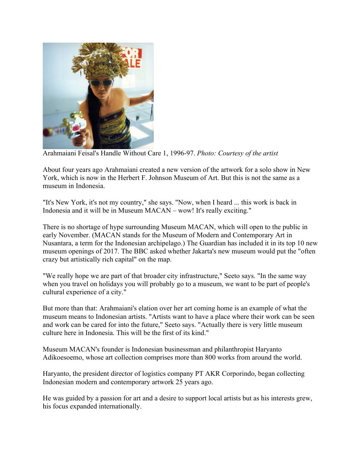

Arahmaiani Feisal's Handle Without Care 1, 1996-97. *Photo: Courtesy of the artist*

About four years ago Arahmaiani created a new version of the artwork for a solo show in New York, which is now in the Herbert F. Johnson Museum of Art. But this is not the same as a museum in Indonesia.

"It's New York, it's not my country," she says. "Now, when I heard ... this work is back in Indonesia and it will be in Museum MACAN – wow! It's really exciting."

There is no shortage of hype surrounding Museum MACAN, which will open to the public in early November. (MACAN stands for the Museum of Modern and Contemporary Art in Nusantara, a term for the Indonesian archipelago.) The Guardian has included it in its top 10 new museum openings of 2017. The BBC asked whether Jakarta's new museum would put the "often crazy but artistically rich capital" on the map.

"We really hope we are part of that broader city infrastructure," Seeto says. "In the same way when you travel on holidays you will probably go to a museum, we want to be part of people's cultural experience of a city."

But more than that: Arahmaiani's elation over her art coming home is an example of what the museum means to Indonesian artists. "Artists want to have a place where their work can be seen and work can be cared for into the future," Seeto says. "Actually there is very little museum culture here in Indonesia. This will be the first of its kind."

Museum MACAN's founder is Indonesian businessman and philanthropist Haryanto Adikoesoemo, whose art collection comprises more than 800 works from around the world.

Haryanto, the president director of logistics company PT AKR Corporindo, began collecting Indonesian modern and contemporary artwork 25 years ago.

He was guided by a passion for art and a desire to support local artists but as his interests grew, his focus expanded internationally.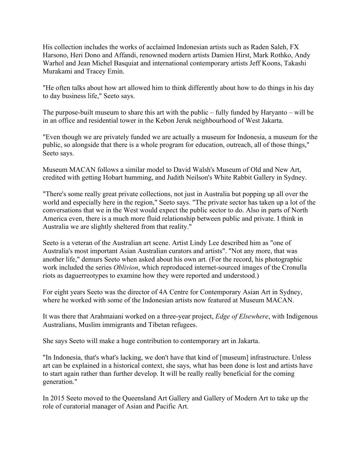His collection includes the works of acclaimed Indonesian artists such as Raden Saleh, FX Harsono, Heri Dono and Affandi, renowned modern artists Damien Hirst, Mark Rothko, Andy Warhol and Jean Michel Basquiat and international contemporary artists Jeff Koons, Takashi Murakami and Tracey Emin.

"He often talks about how art allowed him to think differently about how to do things in his day to day business life," Seeto says.

The purpose-built museum to share this art with the public – fully funded by Haryanto – will be in an office and residential tower in the Kebon Jeruk neighbourhood of West Jakarta.

"Even though we are privately funded we are actually a museum for Indonesia, a museum for the public, so alongside that there is a whole program for education, outreach, all of those things," Seeto says.

Museum MACAN follows a similar model to David Walsh's Museum of Old and New Art, credited with getting Hobart humming, and Judith Neilson's White Rabbit Gallery in Sydney.

"There's some really great private collections, not just in Australia but popping up all over the world and especially here in the region," Seeto says. "The private sector has taken up a lot of the conversations that we in the West would expect the public sector to do. Also in parts of North America even, there is a much more fluid relationship between public and private. I think in Australia we are slightly sheltered from that reality."

Seeto is a veteran of the Australian art scene. Artist Lindy Lee described him as "one of Australia's most important Asian Australian curators and artists". "Not any more, that was another life," demurs Seeto when asked about his own art. (For the record, his photographic work included the series *Oblivion*, which reproduced internet-sourced images of the Cronulla riots as daguerreotypes to examine how they were reported and understood.)

For eight years Seeto was the director of 4A Centre for Contemporary Asian Art in Sydney, where he worked with some of the Indonesian artists now featured at Museum MACAN.

It was there that Arahmaiani worked on a three-year project, *Edge of Elsewhere*, with Indigenous Australians, Muslim immigrants and Tibetan refugees.

She says Seeto will make a huge contribution to contemporary art in Jakarta.

"In Indonesia, that's what's lacking, we don't have that kind of [museum] infrastructure. Unless art can be explained in a historical context, she says, what has been done is lost and artists have to start again rather than further develop. It will be really really beneficial for the coming generation."

In 2015 Seeto moved to the Queensland Art Gallery and Gallery of Modern Art to take up the role of curatorial manager of Asian and Pacific Art.